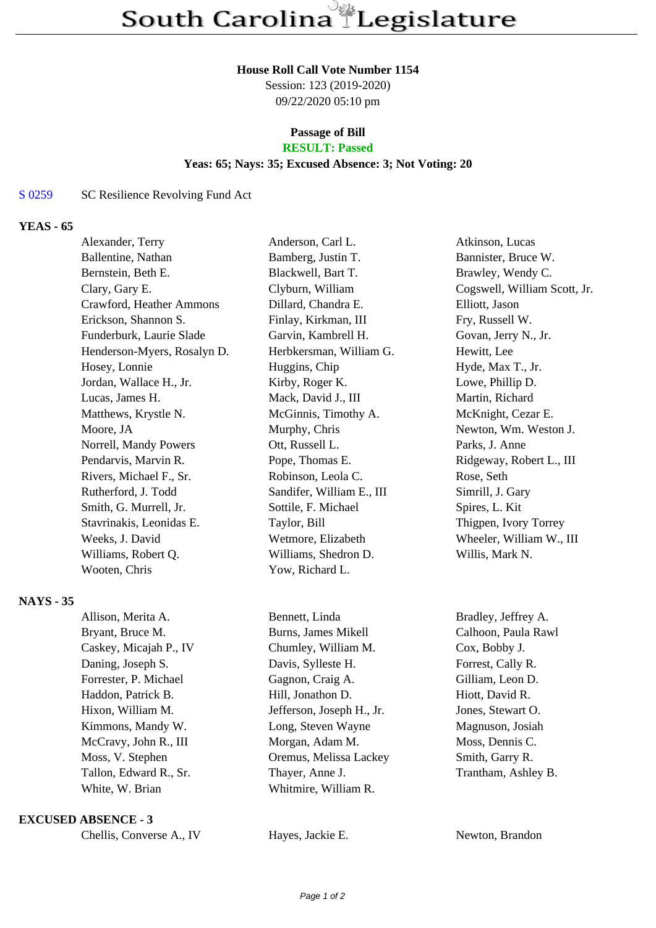#### **House Roll Call Vote Number 1154**

Session: 123 (2019-2020) 09/22/2020 05:10 pm

# **Passage of Bill**

# **RESULT: Passed**

## **Yeas: 65; Nays: 35; Excused Absence: 3; Not Voting: 20**

#### S 0259 SC Resilience Revolving Fund Act

### **YEAS - 65**

| Alexander, Terry            | Anderson, Carl L.         | Atkinson, Lucas              |
|-----------------------------|---------------------------|------------------------------|
| Ballentine, Nathan          | Bamberg, Justin T.        | Bannister, Bruce W.          |
| Bernstein, Beth E.          | Blackwell, Bart T.        | Brawley, Wendy C.            |
| Clary, Gary E.              | Clyburn, William          | Cogswell, William Scott, Jr. |
| Crawford, Heather Ammons    | Dillard, Chandra E.       | Elliott, Jason               |
| Erickson, Shannon S.        | Finlay, Kirkman, III      | Fry, Russell W.              |
| Funderburk, Laurie Slade    | Garvin, Kambrell H.       | Govan, Jerry N., Jr.         |
| Henderson-Myers, Rosalyn D. | Herbkersman, William G.   | Hewitt, Lee                  |
| Hosey, Lonnie               | Huggins, Chip             | Hyde, Max T., Jr.            |
| Jordan, Wallace H., Jr.     | Kirby, Roger K.           | Lowe, Phillip D.             |
| Lucas, James H.             | Mack, David J., III       | Martin, Richard              |
| Matthews, Krystle N.        | McGinnis, Timothy A.      | McKnight, Cezar E.           |
| Moore, JA                   | Murphy, Chris             | Newton, Wm. Weston J.        |
| Norrell, Mandy Powers       | Ott, Russell L.           | Parks, J. Anne               |
| Pendarvis, Marvin R.        | Pope, Thomas E.           | Ridgeway, Robert L., III     |
| Rivers, Michael F., Sr.     | Robinson, Leola C.        | Rose, Seth                   |
| Rutherford, J. Todd         | Sandifer, William E., III | Simrill, J. Gary             |
| Smith, G. Murrell, Jr.      | Sottile, F. Michael       | Spires, L. Kit               |
| Stavrinakis, Leonidas E.    | Taylor, Bill              | Thigpen, Ivory Torrey        |
| Weeks, J. David             | Wetmore, Elizabeth        | Wheeler, William W., III     |
| Williams, Robert Q.         | Williams, Shedron D.      | Willis, Mark N.              |
| Wooten, Chris               | Yow, Richard L.           |                              |

#### **NAYS - 35**

Bryant, Bruce M. Burns, James Mikell Calhoon, Paula Rawl Caskey, Micajah P., IV Chumley, William M. Cox, Bobby J. Daning, Joseph S. Davis, Sylleste H. Forrest, Cally R. Forrester, P. Michael Gagnon, Craig A. Gilliam, Leon D. Haddon, Patrick B. Hill, Jonathon D. Hiott, David R. Hixon, William M. **Jefferson, Joseph H., Jr.** Jones, Stewart O. Kimmons, Mandy W. Long, Steven Wayne Magnuson, Josiah McCravy, John R., III Morgan, Adam M. Moss, Dennis C. Moss, V. Stephen Oremus, Melissa Lackey Smith, Garry R. Tallon, Edward R., Sr. Thayer, Anne J. Trantham, Ashley B. White, W. Brian Whitmire, William R.

#### **EXCUSED ABSENCE - 3**

Chellis, Converse A., IV Hayes, Jackie E. Newton, Brandon

Allison, Merita A. Bennett, Linda Bradley, Jeffrey A.